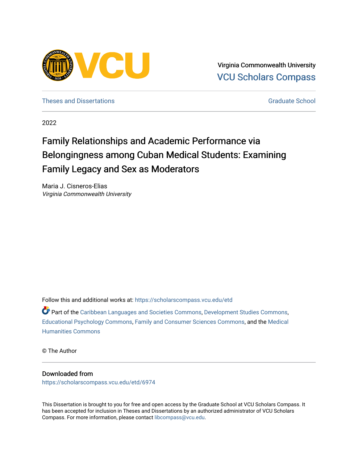

Virginia Commonwealth University [VCU Scholars Compass](https://scholarscompass.vcu.edu/) 

[Theses and Dissertations](https://scholarscompass.vcu.edu/etd) [Graduate School](https://scholarscompass.vcu.edu/gradschool) and Dissertations Graduate School and Dissertations Graduate School and Dissertations Graduate School and Dissertations Graduate School and Dissertations Graduate School and Dissert

2022

# Family Relationships and Academic Performance via Belongingness among Cuban Medical Students: Examining Family Legacy and Sex as Moderators

Maria J. Cisneros-Elias Virginia Commonwealth University

Follow this and additional works at: [https://scholarscompass.vcu.edu/etd](https://scholarscompass.vcu.edu/etd?utm_source=scholarscompass.vcu.edu%2Fetd%2F6974&utm_medium=PDF&utm_campaign=PDFCoverPages) 

Part of the [Caribbean Languages and Societies Commons,](https://network.bepress.com/hgg/discipline/1359?utm_source=scholarscompass.vcu.edu%2Fetd%2F6974&utm_medium=PDF&utm_campaign=PDFCoverPages) [Development Studies Commons,](https://network.bepress.com/hgg/discipline/1422?utm_source=scholarscompass.vcu.edu%2Fetd%2F6974&utm_medium=PDF&utm_campaign=PDFCoverPages) [Educational Psychology Commons](https://network.bepress.com/hgg/discipline/798?utm_source=scholarscompass.vcu.edu%2Fetd%2F6974&utm_medium=PDF&utm_campaign=PDFCoverPages), [Family and Consumer Sciences Commons](https://network.bepress.com/hgg/discipline/1055?utm_source=scholarscompass.vcu.edu%2Fetd%2F6974&utm_medium=PDF&utm_campaign=PDFCoverPages), and the [Medical](https://network.bepress.com/hgg/discipline/1303?utm_source=scholarscompass.vcu.edu%2Fetd%2F6974&utm_medium=PDF&utm_campaign=PDFCoverPages)  [Humanities Commons](https://network.bepress.com/hgg/discipline/1303?utm_source=scholarscompass.vcu.edu%2Fetd%2F6974&utm_medium=PDF&utm_campaign=PDFCoverPages) 

© The Author

#### Downloaded from

[https://scholarscompass.vcu.edu/etd/6974](https://scholarscompass.vcu.edu/etd/6974?utm_source=scholarscompass.vcu.edu%2Fetd%2F6974&utm_medium=PDF&utm_campaign=PDFCoverPages) 

This Dissertation is brought to you for free and open access by the Graduate School at VCU Scholars Compass. It has been accepted for inclusion in Theses and Dissertations by an authorized administrator of VCU Scholars Compass. For more information, please contact [libcompass@vcu.edu](mailto:libcompass@vcu.edu).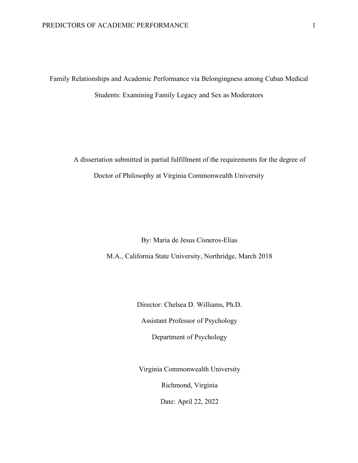Family Relationships and Academic Performance via Belongingness among Cuban Medical Students: Examining Family Legacy and Sex as Moderators

A dissertation submitted in partial fulfillment of the requirements for the degree of Doctor of Philosophy at Virginia Commonwealth University

By: Maria de Jesus Cisneros-Elias

M.A., California State University, Northridge, March 2018

Director: Chelsea D. Williams, Ph.D.

Assistant Professor of Psychology

Department of Psychology

Virginia Commonwealth University

Richmond, Virginia

Date: April 22, 2022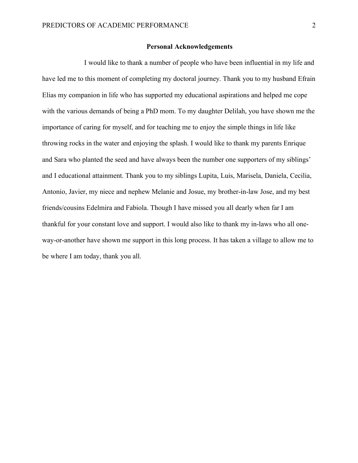#### **Personal Acknowledgements**

I would like to thank a number of people who have been influential in my life and have led me to this moment of completing my doctoral journey. Thank you to my husband Efrain Elias my companion in life who has supported my educational aspirations and helped me cope with the various demands of being a PhD mom. To my daughter Delilah, you have shown me the importance of caring for myself, and for teaching me to enjoy the simple things in life like throwing rocks in the water and enjoying the splash. I would like to thank my parents Enrique and Sara who planted the seed and have always been the number one supporters of my siblings' and I educational attainment. Thank you to my siblings Lupita, Luis, Marisela, Daniela, Cecilia, Antonio, Javier, my niece and nephew Melanie and Josue, my brother-in-law Jose, and my best friends/cousins Edelmira and Fabiola. Though I have missed you all dearly when far I am thankful for your constant love and support. I would also like to thank my in-laws who all oneway-or-another have shown me support in this long process. It has taken a village to allow me to be where I am today, thank you all.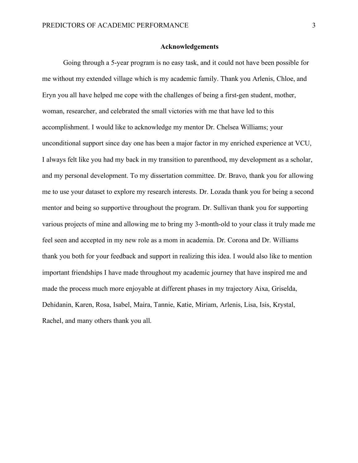#### **Acknowledgements**

Going through a 5-year program is no easy task, and it could not have been possible for me without my extended village which is my academic family. Thank you Arlenis, Chloe, and Eryn you all have helped me cope with the challenges of being a first-gen student, mother, woman, researcher, and celebrated the small victories with me that have led to this accomplishment. I would like to acknowledge my mentor Dr. Chelsea Williams; your unconditional support since day one has been a major factor in my enriched experience at VCU, I always felt like you had my back in my transition to parenthood, my development as a scholar, and my personal development. To my dissertation committee. Dr. Bravo, thank you for allowing me to use your dataset to explore my research interests. Dr. Lozada thank you for being a second mentor and being so supportive throughout the program. Dr. Sullivan thank you for supporting various projects of mine and allowing me to bring my 3-month-old to your class it truly made me feel seen and accepted in my new role as a mom in academia. Dr. Corona and Dr. Williams thank you both for your feedback and support in realizing this idea. I would also like to mention important friendships I have made throughout my academic journey that have inspired me and made the process much more enjoyable at different phases in my trajectory Aixa, Griselda, Dehidanin, Karen, Rosa, Isabel, Maira, Tannie, Katie, Miriam, Arlenis, Lisa, Isis, Krystal, Rachel, and many others thank you all.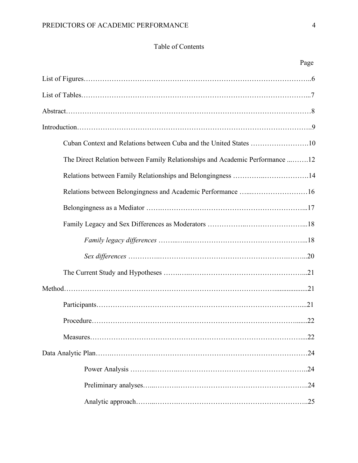## Table of Contents

|                                                                              | Page |
|------------------------------------------------------------------------------|------|
|                                                                              |      |
|                                                                              |      |
|                                                                              |      |
|                                                                              |      |
| Cuban Context and Relations between Cuba and the United States 10            |      |
| The Direct Relation between Family Relationships and Academic Performance 12 |      |
| Relations between Family Relationships and Belongingness 14                  |      |
| Relations between Belongingness and Academic Performance 16                  |      |
|                                                                              |      |
|                                                                              |      |
|                                                                              |      |
|                                                                              |      |
|                                                                              |      |
|                                                                              |      |
|                                                                              |      |
|                                                                              |      |
|                                                                              |      |
|                                                                              |      |
|                                                                              |      |
|                                                                              |      |
|                                                                              |      |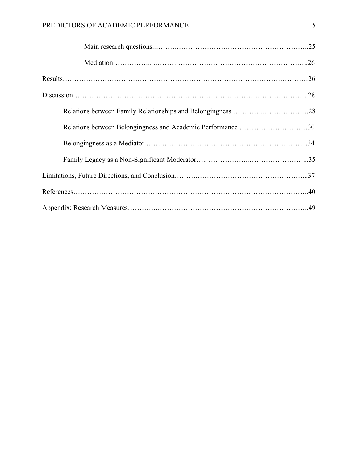| Relations between Belongingness and Academic Performance 30 |  |
|-------------------------------------------------------------|--|
|                                                             |  |
|                                                             |  |
|                                                             |  |
|                                                             |  |
|                                                             |  |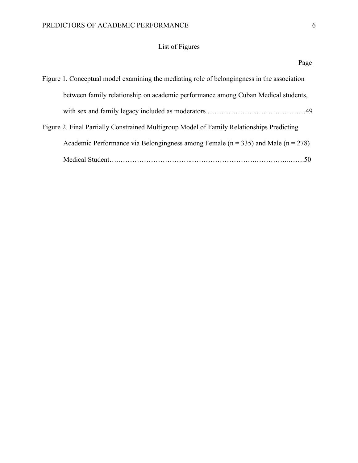## List of Figures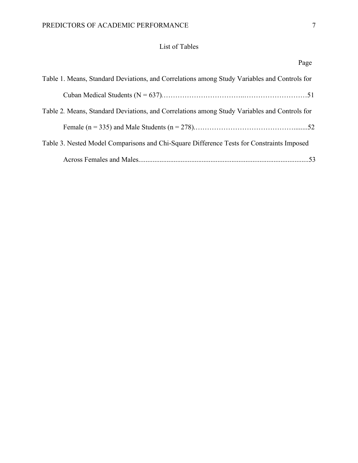## List of Tables

|--|

| Table 1. Means, Standard Deviations, and Correlations among Study Variables and Controls for |
|----------------------------------------------------------------------------------------------|
|                                                                                              |
| Table 2. Means, Standard Deviations, and Correlations among Study Variables and Controls for |
|                                                                                              |
| Table 3. Nested Model Comparisons and Chi-Square Difference Tests for Constraints Imposed    |
|                                                                                              |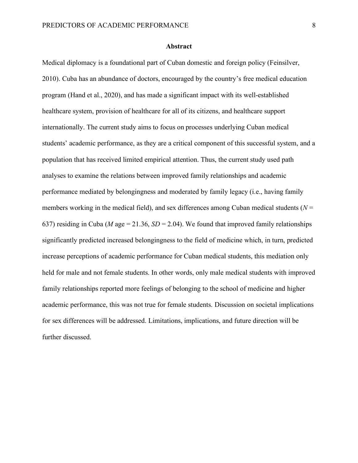#### **Abstract**

Medical diplomacy is a foundational part of Cuban domestic and foreign policy (Feinsilver, 2010). Cuba has an abundance of doctors, encouraged by the country's free medical education program (Hand et al., 2020), and has made a significant impact with its well-established healthcare system, provision of healthcare for all of its citizens, and healthcare support internationally. The current study aims to focus on processes underlying Cuban medical students' academic performance, as they are a critical component of this successful system, and a population that has received limited empirical attention. Thus, the current study used path analyses to examine the relations between improved family relationships and academic performance mediated by belongingness and moderated by family legacy (i.e., having family members working in the medical field), and sex differences among Cuban medical students ( $N =$ 637) residing in Cuba (*M* age = 21.36,  $SD = 2.04$ ). We found that improved family relationships significantly predicted increased belongingness to the field of medicine which, in turn, predicted increase perceptions of academic performance for Cuban medical students, this mediation only held for male and not female students. In other words, only male medical students with improved family relationships reported more feelings of belonging to the school of medicine and higher academic performance, this was not true for female students. Discussion on societal implications for sex differences will be addressed. Limitations, implications, and future direction will be further discussed.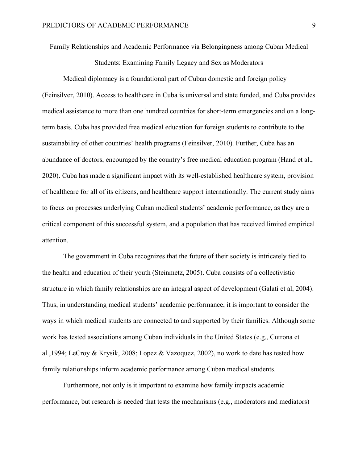Family Relationships and Academic Performance via Belongingness among Cuban Medical

Students: Examining Family Legacy and Sex as Moderators

Medical diplomacy is a foundational part of Cuban domestic and foreign policy (Feinsilver, 2010). Access to healthcare in Cuba is universal and state funded, and Cuba provides medical assistance to more than one hundred countries for short-term emergencies and on a longterm basis. Cuba has provided free medical education for foreign students to contribute to the sustainability of other countries' health programs (Feinsilver, 2010). Further, Cuba has an abundance of doctors, encouraged by the country's free medical education program (Hand et al., 2020). Cuba has made a significant impact with its well-established healthcare system, provision of healthcare for all of its citizens, and healthcare support internationally. The current study aims to focus on processes underlying Cuban medical students' academic performance, as they are a critical component of this successful system, and a population that has received limited empirical attention.

The government in Cuba recognizes that the future of their society is intricately tied to the health and education of their youth (Steinmetz, 2005). Cuba consists of a collectivistic structure in which family relationships are an integral aspect of development (Galati et al, 2004). Thus, in understanding medical students' academic performance, it is important to consider the ways in which medical students are connected to and supported by their families. Although some work has tested associations among Cuban individuals in the United States (e.g., Cutrona et al.,1994; LeCroy & Krysik, 2008; Lopez & Vazoquez, 2002), no work to date has tested how family relationships inform academic performance among Cuban medical students.

Furthermore, not only is it important to examine how family impacts academic performance, but research is needed that tests the mechanisms (e.g., moderators and mediators)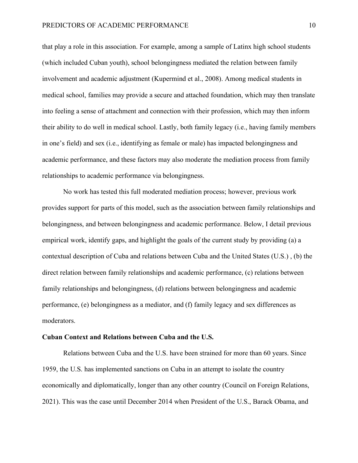that play a role in this association. For example, among a sample of Latinx high school students (which included Cuban youth), school belongingness mediated the relation between family involvement and academic adjustment (Kupermind et al., 2008). Among medical students in medical school, families may provide a secure and attached foundation, which may then translate into feeling a sense of attachment and connection with their profession, which may then inform their ability to do well in medical school. Lastly, both family legacy (i.e., having family members in one's field) and sex (i.e., identifying as female or male) has impacted belongingness and academic performance, and these factors may also moderate the mediation process from family relationships to academic performance via belongingness.

No work has tested this full moderated mediation process; however, previous work provides support for parts of this model, such as the association between family relationships and belongingness, and between belongingness and academic performance. Below, I detail previous empirical work, identify gaps, and highlight the goals of the current study by providing (a) a contextual description of Cuba and relations between Cuba and the United States (U.S.) , (b) the direct relation between family relationships and academic performance, (c) relations between family relationships and belongingness, (d) relations between belongingness and academic performance, (e) belongingness as a mediator, and (f) family legacy and sex differences as moderators.

#### **Cuban Context and Relations between Cuba and the U.S.**

Relations between Cuba and the U.S. have been strained for more than 60 years. Since 1959, the U.S. has implemented sanctions on Cuba in an attempt to isolate the country economically and diplomatically, longer than any other country (Council on Foreign Relations, 2021). This was the case until December 2014 when President of the U.S., Barack Obama, and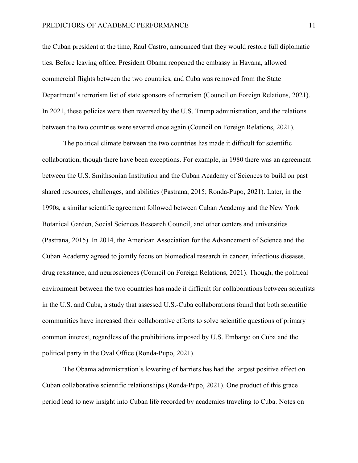the Cuban president at the time, Raul Castro, announced that they would restore full diplomatic ties. Before leaving office, President Obama reopened the embassy in Havana, allowed commercial flights between the two countries, and Cuba was removed from the State Department's terrorism list of state sponsors of terrorism (Council on Foreign Relations, 2021). In 2021, these policies were then reversed by the U.S. Trump administration, and the relations between the two countries were severed once again (Council on Foreign Relations, 2021).

The political climate between the two countries has made it difficult for scientific collaboration, though there have been exceptions. For example, in 1980 there was an agreement between the U.S. Smithsonian Institution and the Cuban Academy of Sciences to build on past shared resources, challenges, and abilities (Pastrana, 2015; Ronda-Pupo, 2021). Later, in the 1990s, a similar scientific agreement followed between Cuban Academy and the New York Botanical Garden, Social Sciences Research Council, and other centers and universities (Pastrana, 2015). In 2014, the American Association for the Advancement of Science and the Cuban Academy agreed to jointly focus on biomedical research in cancer, infectious diseases, drug resistance, and neurosciences (Council on Foreign Relations, 2021). Though, the political environment between the two countries has made it difficult for collaborations between scientists in the U.S. and Cuba, a study that assessed U.S.-Cuba collaborations found that both scientific communities have increased their collaborative efforts to solve scientific questions of primary common interest, regardless of the prohibitions imposed by U.S. Embargo on Cuba and the political party in the Oval Office (Ronda-Pupo, 2021).

The Obama administration's lowering of barriers has had the largest positive effect on Cuban collaborative scientific relationships (Ronda-Pupo, 2021). One product of this grace period lead to new insight into Cuban life recorded by academics traveling to Cuba. Notes on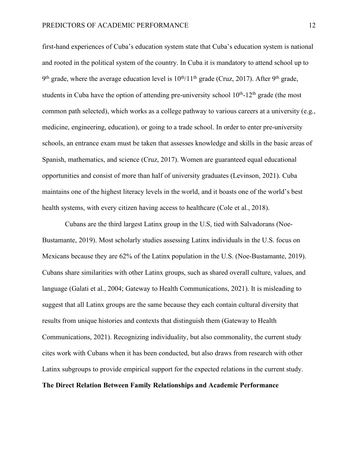first-hand experiences of Cuba's education system state that Cuba's education system is national and rooted in the political system of the country. In Cuba it is mandatory to attend school up to 9<sup>th</sup> grade, where the average education level is  $10^{th}/11^{th}$  grade (Cruz, 2017). After 9<sup>th</sup> grade, students in Cuba have the option of attending pre-university school  $10^{th}$ -12<sup>th</sup> grade (the most common path selected), which works as a college pathway to various careers at a university (e.g., medicine, engineering, education), or going to a trade school. In order to enter pre-university schools, an entrance exam must be taken that assesses knowledge and skills in the basic areas of Spanish, mathematics, and science (Cruz, 2017). Women are guaranteed equal educational opportunities and consist of more than half of university graduates (Levinson, 2021). Cuba maintains one of the highest literacy levels in the world, and it boasts one of the world's best health systems, with every citizen having access to healthcare (Cole et al., 2018).

Cubans are the third largest Latinx group in the U.S, tied with Salvadorans (Noe-Bustamante, 2019). Most scholarly studies assessing Latinx individuals in the U.S. focus on Mexicans because they are 62% of the Latinx population in the U.S. (Noe-Bustamante, 2019). Cubans share similarities with other Latinx groups, such as shared overall culture, values, and language (Galati et al., 2004; Gateway to Health Communications, 2021). It is misleading to suggest that all Latinx groups are the same because they each contain cultural diversity that results from unique histories and contexts that distinguish them (Gateway to Health Communications, 2021). Recognizing individuality, but also commonality, the current study cites work with Cubans when it has been conducted, but also draws from research with other Latinx subgroups to provide empirical support for the expected relations in the current study. **The Direct Relation Between Family Relationships and Academic Performance**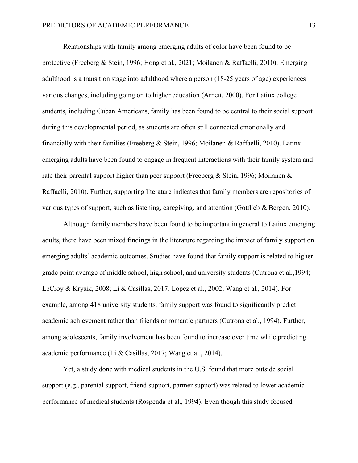Relationships with family among emerging adults of color have been found to be protective (Freeberg & Stein, 1996; Hong et al., 2021; Moilanen & Raffaelli, 2010). Emerging adulthood is a transition stage into adulthood where a person (18-25 years of age) experiences various changes, including going on to higher education (Arnett, 2000). For Latinx college students, including Cuban Americans, family has been found to be central to their social support during this developmental period, as students are often still connected emotionally and financially with their families (Freeberg & Stein, 1996; Moilanen & Raffaelli, 2010). Latinx emerging adults have been found to engage in frequent interactions with their family system and rate their parental support higher than peer support (Freeberg & Stein, 1996; Moilanen & Raffaelli, 2010). Further, supporting literature indicates that family members are repositories of various types of support, such as listening, caregiving, and attention (Gottlieb & Bergen, 2010).

Although family members have been found to be important in general to Latinx emerging adults, there have been mixed findings in the literature regarding the impact of family support on emerging adults' academic outcomes. Studies have found that family support is related to higher grade point average of middle school, high school, and university students (Cutrona et al.,1994; LeCroy & Krysik, 2008; Li & Casillas, 2017; Lopez et al., 2002; Wang et al., 2014). For example, among 418 university students, family support was found to significantly predict academic achievement rather than friends or romantic partners (Cutrona et al., 1994). Further, among adolescents, family involvement has been found to increase over time while predicting academic performance (Li & Casillas, 2017; Wang et al., 2014).

Yet, a study done with medical students in the U.S. found that more outside social support (e.g., parental support, friend support, partner support) was related to lower academic performance of medical students (Rospenda et al., 1994). Even though this study focused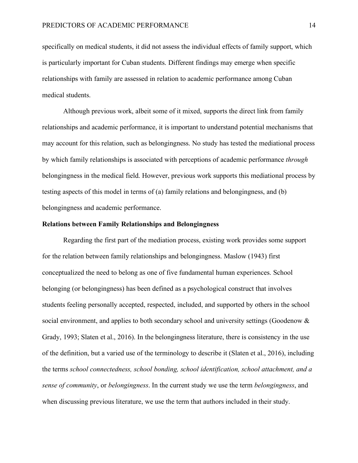specifically on medical students, it did not assess the individual effects of family support, which is particularly important for Cuban students. Different findings may emerge when specific relationships with family are assessed in relation to academic performance among Cuban medical students.

Although previous work, albeit some of it mixed, supports the direct link from family relationships and academic performance, it is important to understand potential mechanisms that may account for this relation, such as belongingness. No study has tested the mediational process by which family relationships is associated with perceptions of academic performance *through* belongingness in the medical field. However, previous work supports this mediational process by testing aspects of this model in terms of (a) family relations and belongingness, and (b) belongingness and academic performance.

#### **Relations between Family Relationships and Belongingness**

Regarding the first part of the mediation process, existing work provides some support for the relation between family relationships and belongingness. Maslow (1943) first conceptualized the need to belong as one of five fundamental human experiences. School belonging (or belongingness) has been defined as a psychological construct that involves students feeling personally accepted, respected, included, and supported by others in the school social environment, and applies to both secondary school and university settings (Goodenow & Grady, 1993; Slaten et al., 2016). In the belongingness literature, there is consistency in the use of the definition, but a varied use of the terminology to describe it (Slaten et al., 2016), including the terms *school connectedness, school bonding, school identification, school attachment, and a sense of community*, or *belongingness*. In the current study we use the term *belongingness*, and when discussing previous literature, we use the term that authors included in their study.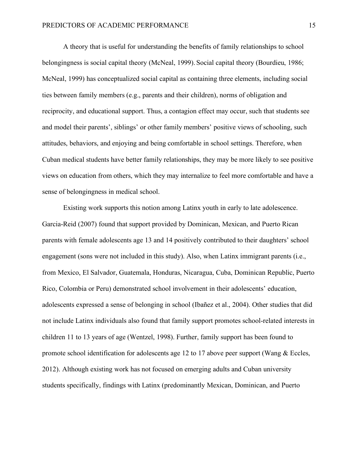A theory that is useful for understanding the benefits of family relationships to school belongingness is social capital theory (McNeal, 1999). Social capital theory (Bourdieu, 1986; McNeal, 1999) has conceptualized social capital as containing three elements, including social ties between family members (e.g., parents and their children), norms of obligation and reciprocity, and educational support. Thus, a contagion effect may occur, such that students see and model their parents', siblings' or other family members' positive views of schooling, such attitudes, behaviors, and enjoying and being comfortable in school settings. Therefore, when Cuban medical students have better family relationships, they may be more likely to see positive views on education from others, which they may internalize to feel more comfortable and have a sense of belongingness in medical school.

Existing work supports this notion among Latinx youth in early to late adolescence. Garcia-Reid (2007) found that support provided by Dominican, Mexican, and Puerto Rican parents with female adolescents age 13 and 14 positively contributed to their daughters' school engagement (sons were not included in this study). Also, when Latinx immigrant parents (i.e., from Mexico, El Salvador, Guatemala, Honduras, Nicaragua, Cuba, Dominican Republic, Puerto Rico, Colombia or Peru) demonstrated school involvement in their adolescents' education, adolescents expressed a sense of belonging in school (Ibañez et al., 2004). Other studies that did not include Latinx individuals also found that family support promotes school-related interests in children 11 to 13 years of age (Wentzel, 1998). Further, family support has been found to promote school identification for adolescents age 12 to 17 above peer support (Wang & Eccles, 2012). Although existing work has not focused on emerging adults and Cuban university students specifically, findings with Latinx (predominantly Mexican, Dominican, and Puerto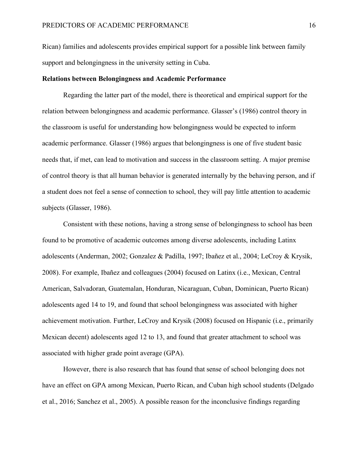Rican) families and adolescents provides empirical support for a possible link between family support and belongingness in the university setting in Cuba.

#### **Relations between Belongingness and Academic Performance**

Regarding the latter part of the model, there is theoretical and empirical support for the relation between belongingness and academic performance. Glasser's (1986) control theory in the classroom is useful for understanding how belongingness would be expected to inform academic performance. Glasser (1986) argues that belongingness is one of five student basic needs that, if met, can lead to motivation and success in the classroom setting. A major premise of control theory is that all human behavior is generated internally by the behaving person, and if a student does not feel a sense of connection to school, they will pay little attention to academic subjects (Glasser, 1986).

Consistent with these notions, having a strong sense of belongingness to school has been found to be promotive of academic outcomes among diverse adolescents, including Latinx adolescents (Anderman, 2002; Gonzalez & Padilla, 1997; Ibañez et al., 2004; LeCroy & Krysik, 2008). For example, Ibañez and colleagues (2004) focused on Latinx (i.e., Mexican, Central American, Salvadoran, Guatemalan, Honduran, Nicaraguan, Cuban, Dominican, Puerto Rican) adolescents aged 14 to 19, and found that school belongingness was associated with higher achievement motivation. Further, LeCroy and Krysik (2008) focused on Hispanic (i.e., primarily Mexican decent) adolescents aged 12 to 13, and found that greater attachment to school was associated with higher grade point average (GPA).

However, there is also research that has found that sense of school belonging does not have an effect on GPA among Mexican, Puerto Rican, and Cuban high school students (Delgado et al., 2016; Sanchez et al., 2005). A possible reason for the inconclusive findings regarding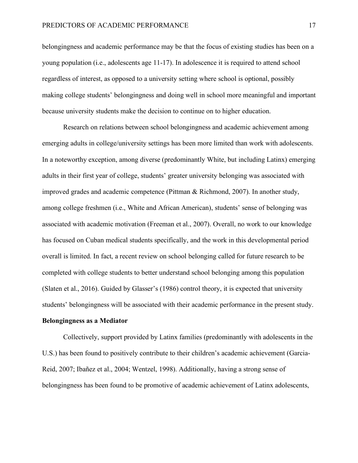belongingness and academic performance may be that the focus of existing studies has been on a young population (i.e., adolescents age 11-17). In adolescence it is required to attend school regardless of interest, as opposed to a university setting where school is optional, possibly making college students' belongingness and doing well in school more meaningful and important because university students make the decision to continue on to higher education.

Research on relations between school belongingness and academic achievement among emerging adults in college/university settings has been more limited than work with adolescents. In a noteworthy exception, among diverse (predominantly White, but including Latinx) emerging adults in their first year of college, students' greater university belonging was associated with improved grades and academic competence (Pittman & Richmond, 2007). In another study, among college freshmen (i.e., White and African American), students' sense of belonging was associated with academic motivation (Freeman et al., 2007). Overall, no work to our knowledge has focused on Cuban medical students specifically, and the work in this developmental period overall is limited. In fact, a recent review on school belonging called for future research to be completed with college students to better understand school belonging among this population (Slaten et al., 2016). Guided by Glasser's (1986) control theory, it is expected that university students' belongingness will be associated with their academic performance in the present study.

#### **Belongingness as a Mediator**

Collectively, support provided by Latinx families (predominantly with adolescents in the U.S.) has been found to positively contribute to their children's academic achievement (Garcia-Reid, 2007; Ibañez et al., 2004; Wentzel, 1998). Additionally, having a strong sense of belongingness has been found to be promotive of academic achievement of Latinx adolescents,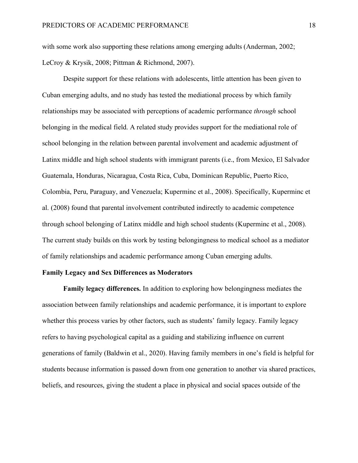with some work also supporting these relations among emerging adults (Anderman, 2002; LeCroy & Krysik, 2008; Pittman & Richmond, 2007).

Despite support for these relations with adolescents, little attention has been given to Cuban emerging adults, and no study has tested the mediational process by which family relationships may be associated with perceptions of academic performance *through* school belonging in the medical field. A related study provides support for the mediational role of school belonging in the relation between parental involvement and academic adjustment of Latinx middle and high school students with immigrant parents (i.e., from Mexico, El Salvador Guatemala, Honduras, Nicaragua, Costa Rica, Cuba, Dominican Republic, Puerto Rico, Colombia, Peru, Paraguay, and Venezuela; Kuperminc et al., 2008). Specifically, Kuperminc et al. (2008) found that parental involvement contributed indirectly to academic competence through school belonging of Latinx middle and high school students (Kuperminc et al., 2008). The current study builds on this work by testing belongingness to medical school as a mediator of family relationships and academic performance among Cuban emerging adults.

#### **Family Legacy and Sex Differences as Moderators**

**Family legacy differences.** In addition to exploring how belongingness mediates the association between family relationships and academic performance, it is important to explore whether this process varies by other factors, such as students' family legacy. Family legacy refers to having psychological capital as a guiding and stabilizing influence on current generations of family (Baldwin et al., 2020). Having family members in one's field is helpful for students because information is passed down from one generation to another via shared practices, beliefs, and resources, giving the student a place in physical and social spaces outside of the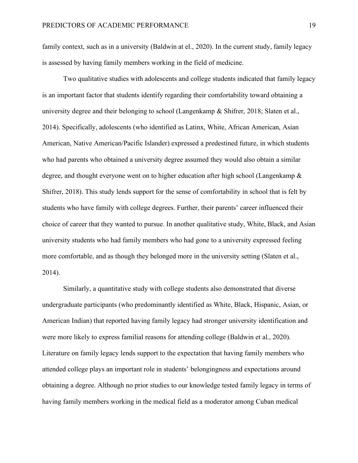family context, such as in a university (Baldwin at el., 2020). In the current study, family legacy is assessed by having family members working in the field of medicine.

Two qualitative studies with adolescents and college students indicated that family legacy is an important factor that students identify regarding their comfortability toward obtaining a university degree and their belonging to school (Langenkamp & Shifrer, 2018; Slaten et al., 2014). Specifically, adolescents (who identified as Latinx, White, African American, Asian American, Native American/Pacific Islander) expressed a predestined future, in which students who had parents who obtained a university degree assumed they would also obtain a similar degree, and thought everyone went on to higher education after high school (Langenkamp & Shifrer, 2018). This study lends support for the sense of comfortability in school that is felt by students who have family with college degrees. Further, their parents' career influenced their choice of career that they wanted to pursue. In another qualitative study, White, Black, and Asian university students who had family members who had gone to a university expressed feeling more comfortable, and as though they belonged more in the university setting (Slaten et al., 2014).

Similarly, a quantitative study with college students also demonstrated that diverse undergraduate participants (who predominantly identified as White, Black, Hispanic, Asian, or American Indian) that reported having family legacy had stronger university identification and were more likely to express familial reasons for attending college (Baldwin et al., 2020). Literature on family legacy lends support to the expectation that having family members who attended college plays an important role in students' belongingness and expectations around obtaining a degree. Although no prior studies to our knowledge tested family legacy in terms of having family members working in the medical field as a moderator among Cuban medical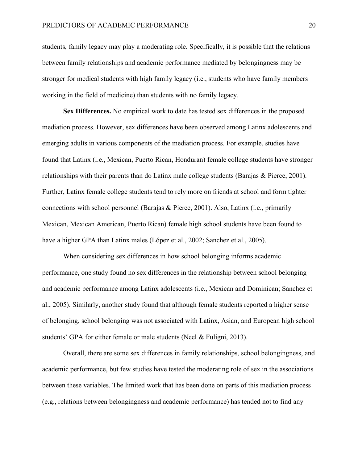students, family legacy may play a moderating role. Specifically, it is possible that the relations between family relationships and academic performance mediated by belongingness may be stronger for medical students with high family legacy (i.e., students who have family members working in the field of medicine) than students with no family legacy.

**Sex Differences.** No empirical work to date has tested sex differences in the proposed mediation process. However, sex differences have been observed among Latinx adolescents and emerging adults in various components of the mediation process. For example, studies have found that Latinx (i.e., Mexican, Puerto Rican, Honduran) female college students have stronger relationships with their parents than do Latinx male college students (Barajas & Pierce, 2001). Further, Latinx female college students tend to rely more on friends at school and form tighter connections with school personnel (Barajas & Pierce, 2001). Also, Latinx (i.e., primarily Mexican, Mexican American, Puerto Rican) female high school students have been found to have a higher GPA than Latinx males (López et al., 2002; Sanchez et al., 2005).

When considering sex differences in how school belonging informs academic performance, one study found no sex differences in the relationship between school belonging and academic performance among Latinx adolescents (i.e., Mexican and Dominican; Sanchez et al., 2005). Similarly, another study found that although female students reported a higher sense of belonging, school belonging was not associated with Latinx, Asian, and European high school students' GPA for either female or male students (Neel & Fuligni, 2013).

Overall, there are some sex differences in family relationships, school belongingness, and academic performance, but few studies have tested the moderating role of sex in the associations between these variables. The limited work that has been done on parts of this mediation process (e.g., relations between belongingness and academic performance) has tended not to find any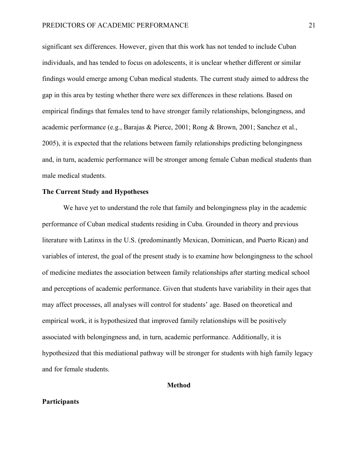significant sex differences. However, given that this work has not tended to include Cuban individuals, and has tended to focus on adolescents, it is unclear whether different or similar findings would emerge among Cuban medical students. The current study aimed to address the gap in this area by testing whether there were sex differences in these relations. Based on empirical findings that females tend to have stronger family relationships, belongingness, and academic performance (e.g., Barajas & Pierce, 2001; Rong & Brown, 2001; Sanchez et al., 2005), it is expected that the relations between family relationships predicting belongingness and, in turn, academic performance will be stronger among female Cuban medical students than male medical students.

#### **The Current Study and Hypotheses**

We have yet to understand the role that family and belongingness play in the academic performance of Cuban medical students residing in Cuba. Grounded in theory and previous literature with Latinxs in the U.S. (predominantly Mexican, Dominican, and Puerto Rican) and variables of interest, the goal of the present study is to examine how belongingness to the school of medicine mediates the association between family relationships after starting medical school and perceptions of academic performance. Given that students have variability in their ages that may affect processes, all analyses will control for students' age. Based on theoretical and empirical work, it is hypothesized that improved family relationships will be positively associated with belongingness and, in turn, academic performance. Additionally, it is hypothesized that this mediational pathway will be stronger for students with high family legacy and for female students.

#### **Method**

#### **Participants**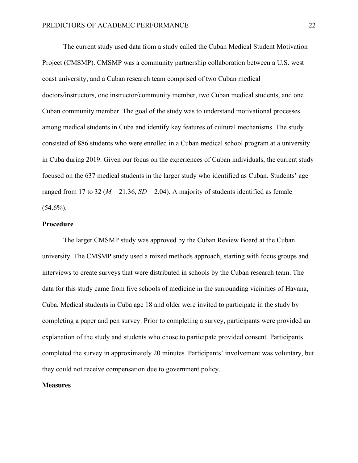The current study used data from a study called the Cuban Medical Student Motivation Project (CMSMP). CMSMP was a community partnership collaboration between a U.S. west coast university, and a Cuban research team comprised of two Cuban medical doctors/instructors, one instructor/community member, two Cuban medical students, and one Cuban community member. The goal of the study was to understand motivational processes among medical students in Cuba and identify key features of cultural mechanisms. The study consisted of 886 students who were enrolled in a Cuban medical school program at a university in Cuba during 2019. Given our focus on the experiences of Cuban individuals, the current study focused on the 637 medical students in the larger study who identified as Cuban. Students' age ranged from 17 to 32 ( $M = 21.36$ ,  $SD = 2.04$ ). A majority of students identified as female  $(54.6\%)$ .

#### **Procedure**

The larger CMSMP study was approved by the Cuban Review Board at the Cuban university. The CMSMP study used a mixed methods approach, starting with focus groups and interviews to create surveys that were distributed in schools by the Cuban research team. The data for this study came from five schools of medicine in the surrounding vicinities of Havana, Cuba. Medical students in Cuba age 18 and older were invited to participate in the study by completing a paper and pen survey. Prior to completing a survey, participants were provided an explanation of the study and students who chose to participate provided consent. Participants completed the survey in approximately 20 minutes. Participants' involvement was voluntary, but they could not receive compensation due to government policy.

#### **Measures**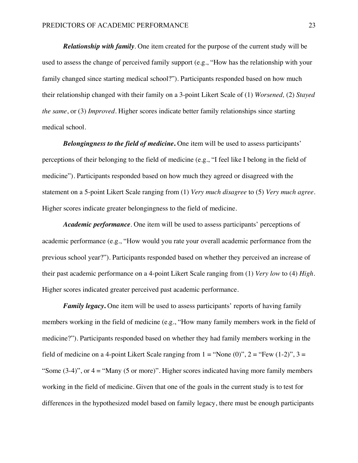*Relationship with family*. One item created for the purpose of the current study will be used to assess the change of perceived family support (e.g., "How has the relationship with your family changed since starting medical school?"). Participants responded based on how much their relationship changed with their family on a 3-point Likert Scale of (1) *Worsened,* (2) *Stayed the same*, or (3) *Improved*. Higher scores indicate better family relationships since starting medical school.

*Belongingness to the field of medicine***.** One item will be used to assess participants' perceptions of their belonging to the field of medicine (e.g., "I feel like I belong in the field of medicine"). Participants responded based on how much they agreed or disagreed with the statement on a 5-point Likert Scale ranging from (1) *Very much disagree* to (5) *Very much agree.* Higher scores indicate greater belongingness to the field of medicine.

*Academic performance*. One item will be used to assess participants' perceptions of academic performance (e.g., "How would you rate your overall academic performance from the previous school year?"). Participants responded based on whether they perceived an increase of their past academic performance on a 4-point Likert Scale ranging from (1) *Very low* to (4) *High*. Higher scores indicated greater perceived past academic performance.

*Family legacy*. One item will be used to assess participants' reports of having family members working in the field of medicine (e.g., "How many family members work in the field of medicine?"). Participants responded based on whether they had family members working in the field of medicine on a 4-point Likert Scale ranging from  $1 = "None (0)", 2 = "Few (1-2)", 3 =$ "Some  $(3-4)$ ", or  $4 =$  "Many  $(5 \text{ or more})$ ". Higher scores indicated having more family members working in the field of medicine. Given that one of the goals in the current study is to test for differences in the hypothesized model based on family legacy, there must be enough participants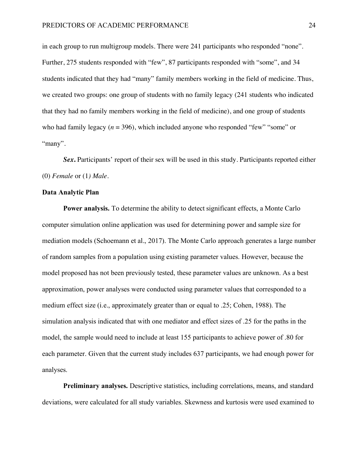in each group to run multigroup models. There were 241 participants who responded "none". Further, 275 students responded with "few", 87 participants responded with "some", and 34 students indicated that they had "many" family members working in the field of medicine. Thus, we created two groups: one group of students with no family legacy (241 students who indicated that they had no family members working in the field of medicine), and one group of students who had family legacy  $(n = 396)$ , which included anyone who responded "few" "some" or "many".

Sex. Participants' report of their sex will be used in this study. Participants reported either (0) *Female* or (1*) Male*.

#### **Data Analytic Plan**

**Power analysis.** To determine the ability to detect significant effects, a Monte Carlo computer simulation online application was used for determining power and sample size for mediation models (Schoemann et al., 2017). The Monte Carlo approach generates a large number of random samples from a population using existing parameter values. However, because the model proposed has not been previously tested, these parameter values are unknown. As a best approximation, power analyses were conducted using parameter values that corresponded to a medium effect size (i.e., approximately greater than or equal to .25; Cohen, 1988). The simulation analysis indicated that with one mediator and effect sizes of .25 for the paths in the model, the sample would need to include at least 155 participants to achieve power of .80 for each parameter. Given that the current study includes 637 participants, we had enough power for analyses.

**Preliminary analyses.** Descriptive statistics, including correlations, means, and standard deviations, were calculated for all study variables. Skewness and kurtosis were used examined to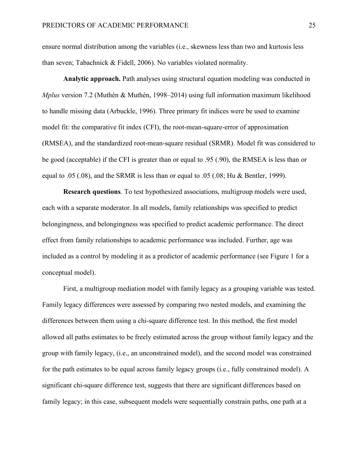ensure normal distribution among the variables (i.e., skewness less than two and kurtosis less than seven; Tabachnick & Fidell, 2006). No variables violated normality.

**Analytic approach.** Path analyses using structural equation modeling was conducted in *Mplus* version 7.2 (Muthén & Muthén, 1998–2014) using full information maximum likelihood to handle missing data (Arbuckle, 1996). Three primary fit indices were be used to examine model fit: the comparative fit index (CFI), the root-mean-square-error of approximation (RMSEA), and the standardized root-mean-square residual (SRMR). Model fit was considered to be good (acceptable) if the CFI is greater than or equal to .95 (.90), the RMSEA is less than or equal to .05 (.08), and the SRMR is less than or equal to .05 (.08; Hu & Bentler, 1999).

**Research questions**. To test hypothesized associations, multigroup models were used, each with a separate moderator. In all models, family relationships was specified to predict belongingness, and belongingness was specified to predict academic performance. The direct effect from family relationships to academic performance was included. Further, age was included as a control by modeling it as a predictor of academic performance (see Figure 1 for a conceptual model).

First, a multigroup mediation model with family legacy as a grouping variable was tested. Family legacy differences were assessed by comparing two nested models, and examining the differences between them using a chi-square difference test. In this method, the first model allowed all paths estimates to be freely estimated across the group without family legacy and the group with family legacy, (i.e., an unconstrained model), and the second model was constrained for the path estimates to be equal across family legacy groups (i.e., fully constrained model). A significant chi-square difference test, suggests that there are significant differences based on family legacy; in this case, subsequent models were sequentially constrain paths, one path at a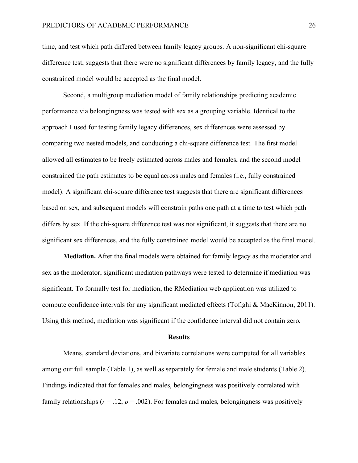time, and test which path differed between family legacy groups. A non-significant chi-square difference test, suggests that there were no significant differences by family legacy, and the fully constrained model would be accepted as the final model.

Second, a multigroup mediation model of family relationships predicting academic performance via belongingness was tested with sex as a grouping variable. Identical to the approach I used for testing family legacy differences, sex differences were assessed by comparing two nested models, and conducting a chi-square difference test. The first model allowed all estimates to be freely estimated across males and females, and the second model constrained the path estimates to be equal across males and females (i.e., fully constrained model). A significant chi-square difference test suggests that there are significant differences based on sex, and subsequent models will constrain paths one path at a time to test which path differs by sex. If the chi-square difference test was not significant, it suggests that there are no significant sex differences, and the fully constrained model would be accepted as the final model.

**Mediation.** After the final models were obtained for family legacy as the moderator and sex as the moderator, significant mediation pathways were tested to determine if mediation was significant. To formally test for mediation, the RMediation web application was utilized to compute confidence intervals for any significant mediated effects (Tofighi & MacKinnon, 2011). Using this method, mediation was significant if the confidence interval did not contain zero.

#### **Results**

Means, standard deviations, and bivariate correlations were computed for all variables among our full sample (Table 1), as well as separately for female and male students (Table 2). Findings indicated that for females and males, belongingness was positively correlated with family relationships  $(r = .12, p = .002)$ . For females and males, belongingness was positively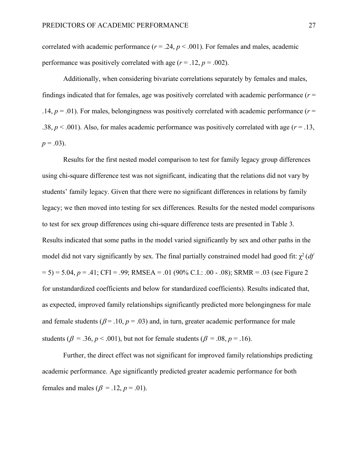correlated with academic performance ( $r = .24$ ,  $p < .001$ ). For females and males, academic performance was positively correlated with age  $(r = .12, p = .002)$ .

Additionally, when considering bivariate correlations separately by females and males, findings indicated that for females, age was positively correlated with academic performance  $(r =$ .14,  $p = 0.01$ ). For males, belongingness was positively correlated with academic performance ( $r =$ .38,  $p < .001$ ). Also, for males academic performance was positively correlated with age ( $r = .13$ ,  $p = .03$ ).

Results for the first nested model comparison to test for family legacy group differences using chi-square difference test was not significant, indicating that the relations did not vary by students' family legacy. Given that there were no significant differences in relations by family legacy; we then moved into testing for sex differences. Results for the nested model comparisons to test for sex group differences using chi-square difference tests are presented in Table 3. Results indicated that some paths in the model varied significantly by sex and other paths in the model did not vary significantly by sex. The final partially constrained model had good fit:  $\chi^2$  (*df*  $(5) = 5.04$ ,  $p = .41$ ; CFI = .99; RMSEA = .01 (90% C.I.: .00 - .08); SRMR = .03 (see Figure 2) for unstandardized coefficients and below for standardized coefficients). Results indicated that, as expected, improved family relationships significantly predicted more belongingness for male and female students ( $\beta$  = .10,  $p$  = .03) and, in turn, greater academic performance for male students ( $\beta = .36$ ,  $p < .001$ ), but not for female students ( $\beta = .08$ ,  $p = .16$ ).

Further, the direct effect was not significant for improved family relationships predicting academic performance. Age significantly predicted greater academic performance for both females and males ( $\beta$  = .12,  $p$  = .01).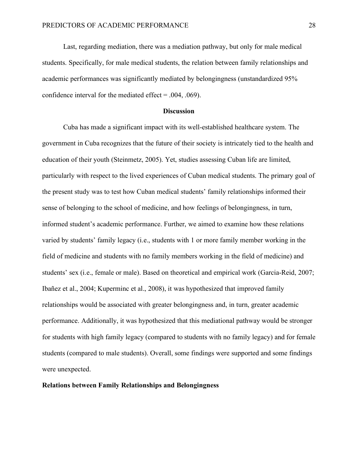Last, regarding mediation, there was a mediation pathway, but only for male medical students. Specifically, for male medical students, the relation between family relationships and academic performances was significantly mediated by belongingness (unstandardized 95% confidence interval for the mediated effect = .004, .069).

#### **Discussion**

Cuba has made a significant impact with its well-established healthcare system. The government in Cuba recognizes that the future of their society is intricately tied to the health and education of their youth (Steinmetz, 2005). Yet, studies assessing Cuban life are limited, particularly with respect to the lived experiences of Cuban medical students. The primary goal of the present study was to test how Cuban medical students' family relationships informed their sense of belonging to the school of medicine, and how feelings of belongingness, in turn, informed student's academic performance. Further, we aimed to examine how these relations varied by students' family legacy (i.e., students with 1 or more family member working in the field of medicine and students with no family members working in the field of medicine) and students' sex (i.e., female or male). Based on theoretical and empirical work (Garcia-Reid, 2007; Ibañez et al., 2004; Kuperminc et al., 2008), it was hypothesized that improved family relationships would be associated with greater belongingness and, in turn, greater academic performance. Additionally, it was hypothesized that this mediational pathway would be stronger for students with high family legacy (compared to students with no family legacy) and for female students (compared to male students). Overall, some findings were supported and some findings were unexpected.

#### **Relations between Family Relationships and Belongingness**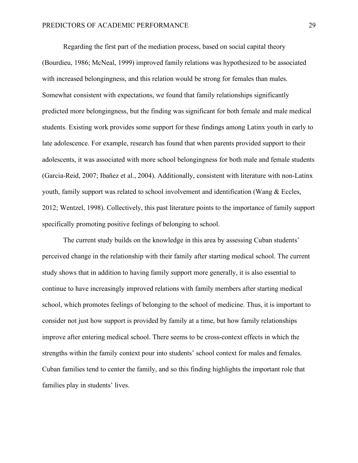Regarding the first part of the mediation process, based on social capital theory (Bourdieu, 1986; McNeal, 1999) improved family relations was hypothesized to be associated with increased belongingness, and this relation would be strong for females than males. Somewhat consistent with expectations, we found that family relationships significantly predicted more belongingness, but the finding was significant for both female and male medical students. Existing work provides some support for these findings among Latinx youth in early to late adolescence. For example, research has found that when parents provided support to their adolescents, it was associated with more school belongingness for both male and female students (Garcia-Reid, 2007; Ibañez et al., 2004). Additionally, consistent with literature with non-Latinx youth, family support was related to school involvement and identification (Wang & Eccles, 2012; Wentzel, 1998). Collectively, this past literature points to the importance of family support specifically promoting positive feelings of belonging to school.

The current study builds on the knowledge in this area by assessing Cuban students' perceived change in the relationship with their family after starting medical school. The current study shows that in addition to having family support more generally, it is also essential to continue to have increasingly improved relations with family members after starting medical school, which promotes feelings of belonging to the school of medicine. Thus, it is important to consider not just how support is provided by family at a time, but how family relationships improve after entering medical school. There seems to be cross-context effects in which the strengths within the family context pour into students' school context for males and females. Cuban families tend to center the family, and so this finding highlights the important role that families play in students' lives.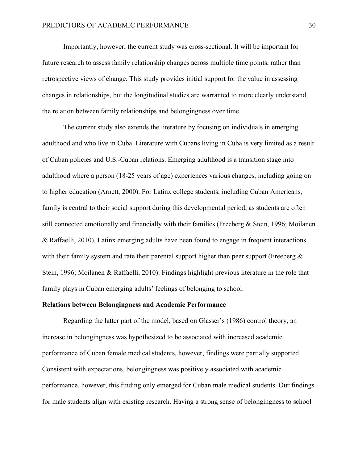Importantly, however, the current study was cross-sectional. It will be important for future research to assess family relationship changes across multiple time points, rather than retrospective views of change. This study provides initial support for the value in assessing changes in relationships, but the longitudinal studies are warranted to more clearly understand the relation between family relationships and belongingness over time.

The current study also extends the literature by focusing on individuals in emerging adulthood and who live in Cuba. Literature with Cubans living in Cuba is very limited as a result of Cuban policies and U.S.-Cuban relations. Emerging adulthood is a transition stage into adulthood where a person (18-25 years of age) experiences various changes, including going on to higher education (Arnett, 2000). For Latinx college students, including Cuban Americans, family is central to their social support during this developmental period, as students are often still connected emotionally and financially with their families (Freeberg & Stein, 1996; Moilanen & Raffaelli, 2010). Latinx emerging adults have been found to engage in frequent interactions with their family system and rate their parental support higher than peer support (Freeberg  $\&$ Stein, 1996; Moilanen & Raffaelli, 2010). Findings highlight previous literature in the role that family plays in Cuban emerging adults' feelings of belonging to school.

#### **Relations between Belongingness and Academic Performance**

Regarding the latter part of the model, based on Glasser's (1986) control theory, an increase in belongingness was hypothesized to be associated with increased academic performance of Cuban female medical students, however, findings were partially supported. Consistent with expectations, belongingness was positively associated with academic performance, however, this finding only emerged for Cuban male medical students. Our findings for male students align with existing research. Having a strong sense of belongingness to school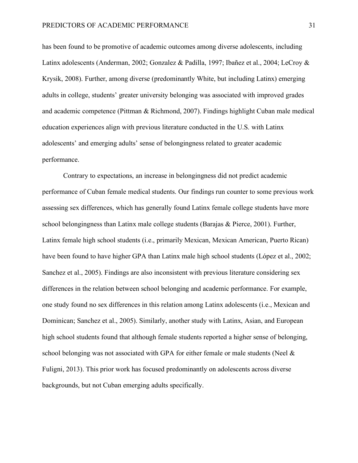has been found to be promotive of academic outcomes among diverse adolescents, including Latinx adolescents (Anderman, 2002; Gonzalez & Padilla, 1997; Ibañez et al., 2004; LeCroy & Krysik, 2008). Further, among diverse (predominantly White, but including Latinx) emerging adults in college, students' greater university belonging was associated with improved grades and academic competence (Pittman & Richmond, 2007). Findings highlight Cuban male medical education experiences align with previous literature conducted in the U.S. with Latinx adolescents' and emerging adults' sense of belongingness related to greater academic performance.

Contrary to expectations, an increase in belongingness did not predict academic performance of Cuban female medical students. Our findings run counter to some previous work assessing sex differences, which has generally found Latinx female college students have more school belongingness than Latinx male college students (Barajas & Pierce, 2001). Further, Latinx female high school students (i.e., primarily Mexican, Mexican American, Puerto Rican) have been found to have higher GPA than Latinx male high school students (López et al., 2002; Sanchez et al., 2005). Findings are also inconsistent with previous literature considering sex differences in the relation between school belonging and academic performance. For example, one study found no sex differences in this relation among Latinx adolescents (i.e., Mexican and Dominican; Sanchez et al., 2005). Similarly, another study with Latinx, Asian, and European high school students found that although female students reported a higher sense of belonging, school belonging was not associated with GPA for either female or male students (Neel  $\&$ Fuligni, 2013). This prior work has focused predominantly on adolescents across diverse backgrounds, but not Cuban emerging adults specifically.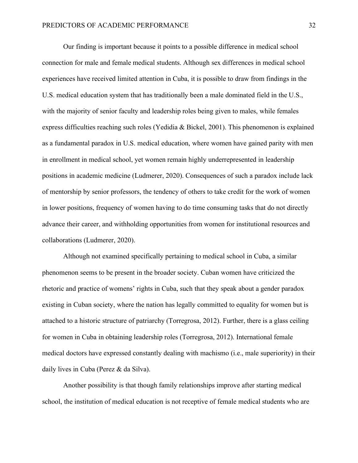Our finding is important because it points to a possible difference in medical school connection for male and female medical students. Although sex differences in medical school experiences have received limited attention in Cuba, it is possible to draw from findings in the U.S. medical education system that has traditionally been a male dominated field in the U.S., with the majority of senior faculty and leadership roles being given to males, while females express difficulties reaching such roles (Yedidia & Bickel, 2001). This phenomenon is explained as a fundamental paradox in U.S. medical education, where women have gained parity with men in enrollment in medical school, yet women remain highly underrepresented in leadership positions in academic medicine (Ludmerer, 2020). Consequences of such a paradox include lack of mentorship by senior professors, the tendency of others to take credit for the work of women in lower positions, frequency of women having to do time consuming tasks that do not directly advance their career, and withholding opportunities from women for institutional resources and collaborations (Ludmerer, 2020).

Although not examined specifically pertaining to medical school in Cuba, a similar phenomenon seems to be present in the broader society. Cuban women have criticized the rhetoric and practice of womens' rights in Cuba, such that they speak about a gender paradox existing in Cuban society, where the nation has legally committed to equality for women but is attached to a historic structure of patriarchy (Torregrosa, 2012). Further, there is a glass ceiling for women in Cuba in obtaining leadership roles (Torregrosa, 2012). International female medical doctors have expressed constantly dealing with machismo (i.e., male superiority) in their daily lives in Cuba (Perez & da Silva).

Another possibility is that though family relationships improve after starting medical school, the institution of medical education is not receptive of female medical students who are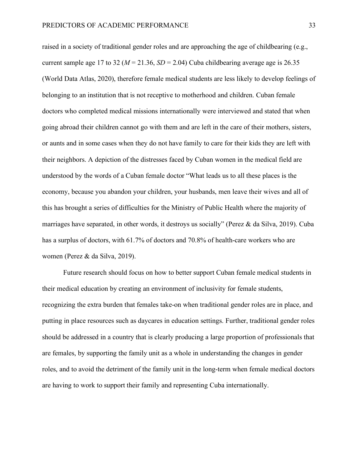raised in a society of traditional gender roles and are approaching the age of childbearing (e.g., current sample age 17 to 32 ( $M = 21.36$ ,  $SD = 2.04$ ) Cuba childbearing average age is 26.35 (World Data Atlas, 2020), therefore female medical students are less likely to develop feelings of belonging to an institution that is not receptive to motherhood and children. Cuban female doctors who completed medical missions internationally were interviewed and stated that when going abroad their children cannot go with them and are left in the care of their mothers, sisters, or aunts and in some cases when they do not have family to care for their kids they are left with their neighbors. A depiction of the distresses faced by Cuban women in the medical field are understood by the words of a Cuban female doctor "What leads us to all these places is the economy, because you abandon your children, your husbands, men leave their wives and all of this has brought a series of difficulties for the Ministry of Public Health where the majority of marriages have separated, in other words, it destroys us socially" (Perez & da Silva, 2019). Cuba has a surplus of doctors, with 61.7% of doctors and 70.8% of health-care workers who are women (Perez & da Silva, 2019).

Future research should focus on how to better support Cuban female medical students in their medical education by creating an environment of inclusivity for female students, recognizing the extra burden that females take-on when traditional gender roles are in place, and putting in place resources such as daycares in education settings. Further, traditional gender roles should be addressed in a country that is clearly producing a large proportion of professionals that are females, by supporting the family unit as a whole in understanding the changes in gender roles, and to avoid the detriment of the family unit in the long-term when female medical doctors are having to work to support their family and representing Cuba internationally.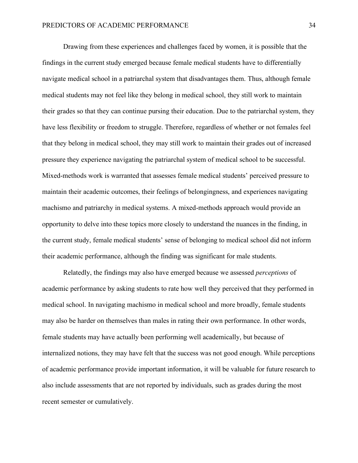Drawing from these experiences and challenges faced by women, it is possible that the findings in the current study emerged because female medical students have to differentially navigate medical school in a patriarchal system that disadvantages them. Thus, although female medical students may not feel like they belong in medical school, they still work to maintain their grades so that they can continue pursing their education. Due to the patriarchal system, they have less flexibility or freedom to struggle. Therefore, regardless of whether or not females feel that they belong in medical school, they may still work to maintain their grades out of increased pressure they experience navigating the patriarchal system of medical school to be successful. Mixed-methods work is warranted that assesses female medical students' perceived pressure to maintain their academic outcomes, their feelings of belongingness, and experiences navigating machismo and patriarchy in medical systems. A mixed-methods approach would provide an opportunity to delve into these topics more closely to understand the nuances in the finding, in the current study, female medical students' sense of belonging to medical school did not inform their academic performance, although the finding was significant for male students.

Relatedly, the findings may also have emerged because we assessed *perceptions* of academic performance by asking students to rate how well they perceived that they performed in medical school. In navigating machismo in medical school and more broadly, female students may also be harder on themselves than males in rating their own performance. In other words, female students may have actually been performing well academically, but because of internalized notions, they may have felt that the success was not good enough. While perceptions of academic performance provide important information, it will be valuable for future research to also include assessments that are not reported by individuals, such as grades during the most recent semester or cumulatively.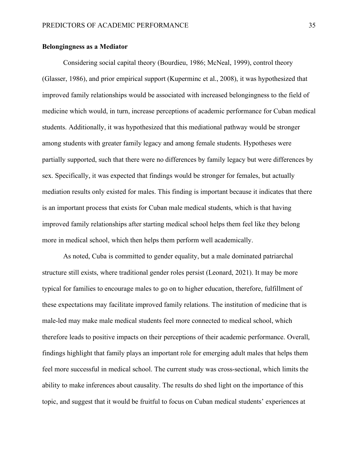#### **Belongingness as a Mediator**

Considering social capital theory (Bourdieu, 1986; McNeal, 1999), control theory (Glasser, 1986), and prior empirical support (Kuperminc et al., 2008), it was hypothesized that improved family relationships would be associated with increased belongingness to the field of medicine which would, in turn, increase perceptions of academic performance for Cuban medical students. Additionally, it was hypothesized that this mediational pathway would be stronger among students with greater family legacy and among female students. Hypotheses were partially supported, such that there were no differences by family legacy but were differences by sex. Specifically, it was expected that findings would be stronger for females, but actually mediation results only existed for males. This finding is important because it indicates that there is an important process that exists for Cuban male medical students, which is that having improved family relationships after starting medical school helps them feel like they belong more in medical school, which then helps them perform well academically.

As noted, Cuba is committed to gender equality, but a male dominated patriarchal structure still exists, where traditional gender roles persist (Leonard, 2021). It may be more typical for families to encourage males to go on to higher education, therefore, fulfillment of these expectations may facilitate improved family relations. The institution of medicine that is male-led may make male medical students feel more connected to medical school, which therefore leads to positive impacts on their perceptions of their academic performance. Overall, findings highlight that family plays an important role for emerging adult males that helps them feel more successful in medical school. The current study was cross-sectional, which limits the ability to make inferences about causality. The results do shed light on the importance of this topic, and suggest that it would be fruitful to focus on Cuban medical students' experiences at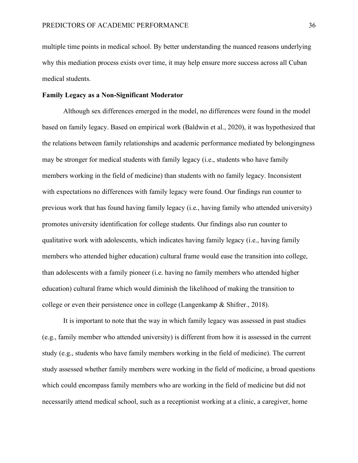multiple time points in medical school. By better understanding the nuanced reasons underlying why this mediation process exists over time, it may help ensure more success across all Cuban medical students.

#### **Family Legacy as a Non-Significant Moderator**

Although sex differences emerged in the model, no differences were found in the model based on family legacy. Based on empirical work (Baldwin et al., 2020), it was hypothesized that the relations between family relationships and academic performance mediated by belongingness may be stronger for medical students with family legacy (i.e., students who have family members working in the field of medicine) than students with no family legacy. Inconsistent with expectations no differences with family legacy were found. Our findings run counter to previous work that has found having family legacy (i.e., having family who attended university) promotes university identification for college students. Our findings also run counter to qualitative work with adolescents, which indicates having family legacy (i.e., having family members who attended higher education) cultural frame would ease the transition into college, than adolescents with a family pioneer (i.e. having no family members who attended higher education) cultural frame which would diminish the likelihood of making the transition to college or even their persistence once in college (Langenkamp & Shifrer., 2018).

It is important to note that the way in which family legacy was assessed in past studies (e.g., family member who attended university) is different from how it is assessed in the current study (e.g., students who have family members working in the field of medicine). The current study assessed whether family members were working in the field of medicine, a broad questions which could encompass family members who are working in the field of medicine but did not necessarily attend medical school, such as a receptionist working at a clinic, a caregiver, home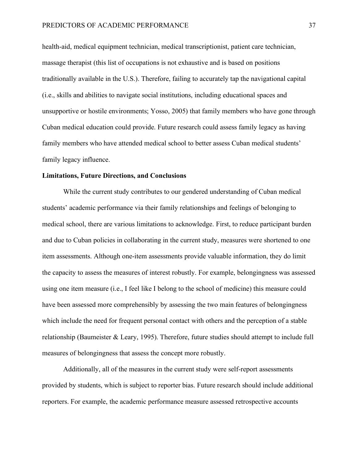health-aid, medical equipment technician, medical transcriptionist, patient care technician, massage therapist (this list of occupations is not exhaustive and is based on positions traditionally available in the U.S.). Therefore, failing to accurately tap the navigational capital (i.e., skills and abilities to navigate social institutions, including educational spaces and unsupportive or hostile environments; Yosso, 2005) that family members who have gone through Cuban medical education could provide. Future research could assess family legacy as having family members who have attended medical school to better assess Cuban medical students' family legacy influence.

#### **Limitations, Future Directions, and Conclusions**

While the current study contributes to our gendered understanding of Cuban medical students' academic performance via their family relationships and feelings of belonging to medical school, there are various limitations to acknowledge. First, to reduce participant burden and due to Cuban policies in collaborating in the current study, measures were shortened to one item assessments. Although one-item assessments provide valuable information, they do limit the capacity to assess the measures of interest robustly. For example, belongingness was assessed using one item measure (i.e., I feel like I belong to the school of medicine) this measure could have been assessed more comprehensibly by assessing the two main features of belongingness which include the need for frequent personal contact with others and the perception of a stable relationship (Baumeister & Leary, 1995). Therefore, future studies should attempt to include full measures of belongingness that assess the concept more robustly.

Additionally, all of the measures in the current study were self-report assessments provided by students, which is subject to reporter bias. Future research should include additional reporters. For example, the academic performance measure assessed retrospective accounts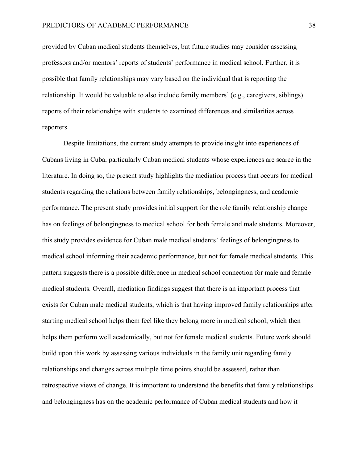provided by Cuban medical students themselves, but future studies may consider assessing professors and/or mentors' reports of students' performance in medical school. Further, it is possible that family relationships may vary based on the individual that is reporting the relationship. It would be valuable to also include family members' (e.g., caregivers, siblings) reports of their relationships with students to examined differences and similarities across reporters.

Despite limitations, the current study attempts to provide insight into experiences of Cubans living in Cuba, particularly Cuban medical students whose experiences are scarce in the literature. In doing so, the present study highlights the mediation process that occurs for medical students regarding the relations between family relationships, belongingness, and academic performance. The present study provides initial support for the role family relationship change has on feelings of belongingness to medical school for both female and male students. Moreover, this study provides evidence for Cuban male medical students' feelings of belongingness to medical school informing their academic performance, but not for female medical students. This pattern suggests there is a possible difference in medical school connection for male and female medical students. Overall, mediation findings suggest that there is an important process that exists for Cuban male medical students, which is that having improved family relationships after starting medical school helps them feel like they belong more in medical school, which then helps them perform well academically, but not for female medical students. Future work should build upon this work by assessing various individuals in the family unit regarding family relationships and changes across multiple time points should be assessed, rather than retrospective views of change. It is important to understand the benefits that family relationships and belongingness has on the academic performance of Cuban medical students and how it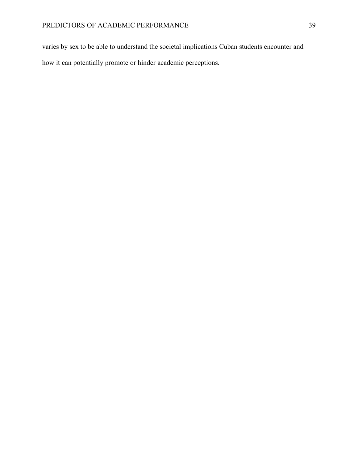varies by sex to be able to understand the societal implications Cuban students encounter and how it can potentially promote or hinder academic perceptions.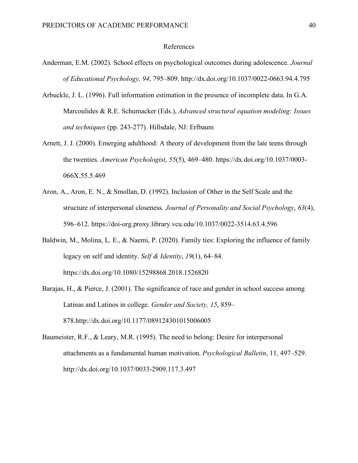#### References

- Anderman, E.M. (2002). School effects on psychological outcomes during adolescence. *Journal of Educational Psychology, 94*, 795–809. http://dx.doi.org/10.1037/0022-0663.94.4.795
- Arbuckle, J. L. (1996). Full information estimation in the presence of incomplete data. In G.A. Marcoulides & R.E. Schumacker (Eds.), *Advanced structural equation modeling: Issues and techniques* (pp. 243-277). Hillsdale, NJ: Erlbaum
- Arnett, J. J. (2000). Emerging adulthood: A theory of development from the late teens through the twenties. *American Psychologist*, *55*(5), 469–480. https://dx.doi.org/10.1037/0003- 066X.55.5.469
- Aron, A., Aron, E. N., & Smollan, D. (1992). Inclusion of Other in the Self Scale and the structure of interpersonal closeness. *Journal of Personality and Social Psychology*, *63*(4), 596–612. https://doi-org.proxy.library.vcu.edu/10.1037/0022-3514.63.4.596
- Baldwin, M., Molina, L. E., & Naemi, P. (2020). Family ties: Exploring the influence of family legacy on self and identity. *Self & Identity*, *19*(1), 64–84. https://dx.doi.org/10.1080/15298868.2018.1526820
- Barajas, H., & Pierce, J. (2001). The significance of race and gender in school success among Latinas and Latinos in college. *Gender and Society, 15*, 859– 878.http://dx.doi.org/10.1177/089124301015006005
- Baumeister, R.F., & Leary, M.R. (1995). The need to belong: Desire for interpersonal attachments as a fundamental human motivation. *Psychological Bulletin*, 11, 497–529. http://dx.doi.org/10.1037/0033-2909.117.3.497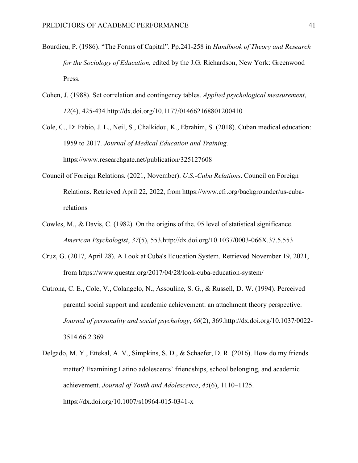- Bourdieu, P. (1986). "The Forms of Capital". Pp.241-258 in *Handbook of Theory and Research for the Sociology of Education*, edited by the J.G. Richardson, New York: Greenwood Press.
- Cohen, J. (1988). Set correlation and contingency tables. *Applied psychological measurement*, *12*(4), 425-434.http://dx.doi.org/10.1177/014662168801200410

Cole, C., Di Fabio, J. L., Neil, S., Chalkidou, K., Ebrahim, S. (2018). Cuban medical education: 1959 to 2017. *Journal of Medical Education and Training.* https://www.researchgate.net/publication/325127608

- Council of Foreign Relations. (2021, November). *U.S.-Cuba Relations*. Council on Foreign Relations. Retrieved April 22, 2022, from https://www.cfr.org/backgrounder/us-cubarelations
- Cowles, M., & Davis, C. (1982). On the origins of the. 05 level of statistical significance. *American Psychologist*, *37*(5), 553.http://dx.doi.org/10.1037/0003-066X.37.5.553
- Cruz, G. (2017, April 28). A Look at Cuba's Education System. Retrieved November 19, 2021, from https://www.questar.org/2017/04/28/look-cuba-education-system/
- Cutrona, C. E., Cole, V., Colangelo, N., Assouline, S. G., & Russell, D. W. (1994). Perceived parental social support and academic achievement: an attachment theory perspective. *Journal of personality and social psychology*, *66*(2), 369.http://dx.doi.org/10.1037/0022- 3514.66.2.369
- Delgado, M. Y., Ettekal, A. V., Simpkins, S. D., & Schaefer, D. R. (2016). How do my friends matter? Examining Latino adolescents' friendships, school belonging, and academic achievement. *Journal of Youth and Adolescence*, *45*(6), 1110–1125. https://dx.doi.org/10.1007/s10964-015-0341-x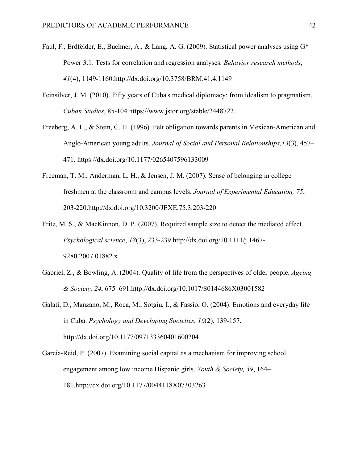- Faul, F., Erdfelder, E., Buchner, A., & Lang, A. G. (2009). Statistical power analyses using G\* Power 3.1: Tests for correlation and regression analyses. *Behavior research methods*, *41*(4), 1149-1160.http://dx.doi.org/10.3758/BRM.41.4.1149
- Feinsilver, J. M. (2010). Fifty years of Cuba's medical diplomacy: from idealism to pragmatism. *Cuban Studies*, 85-104.https://www.jstor.org/stable/2448722
- Freeberg, A. L., & Stein, C. H. (1996). Felt obligation towards parents in Mexican-American and Anglo-American young adults. *Journal of Social and Personal Relationships,13*(3), 457– 471. https://dx.doi.org/10.1177/0265407596133009
- Freeman, T. M., Anderman, L. H., & Jensen, J. M. (2007). Sense of belonging in college freshmen at the classroom and campus levels. *Journal of Experimental Education, 75*, 203-220.http://dx.doi.org/10.3200/JEXE.75.3.203-220
- Fritz, M. S., & MacKinnon, D. P. (2007). Required sample size to detect the mediated effect. *Psychological science*, *18*(3), 233-239.http://dx.doi.org/10.1111/j.1467- 9280.2007.01882.x
- Gabriel, Z., & Bowling, A. (2004). Quality of life from the perspectives of older people. *Ageing & Society, 24*, 675–691.http://dx.doi.org/10.1017/S0144686X03001582
- Galati, D., Manzano, M., Roca, M., Sotgiu, I., & Fassio, O. (2004). Emotions and everyday life in Cuba. *Psychology and Developing Societies*, *16*(2), 139-157. http://dx.doi.org/10.1177/097133360401600204
- Garcia-Reid, P. (2007). Examining social capital as a mechanism for improving school engagement among low income Hispanic girls. *Youth & Society, 39*, 164– 181.http://dx.doi.org/10.1177/0044118X07303263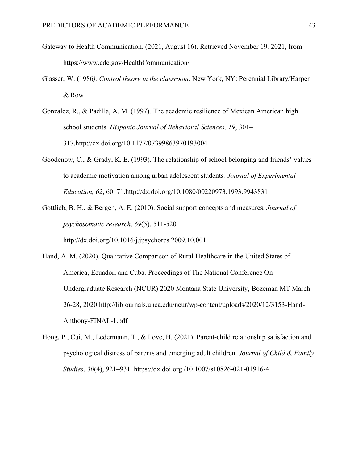- Gateway to Health Communication. (2021, August 16). Retrieved November 19, 2021, from https://www.cdc.gov/HealthCommunication/
- Glasser, W. (1986*). Control theory in the classroom*. New York, NY: Perennial Library/Harper & Row
- Gonzalez, R., & Padilla, A. M. (1997). The academic resilience of Mexican American high school students. *Hispanic Journal of Behavioral Sciences, 19*, 301– 317.http://dx.doi.org/10.1177/07399863970193004
- Goodenow, C., & Grady, K. E. (1993). The relationship of school belonging and friends' values to academic motivation among urban adolescent students*. Journal of Experimental Education, 62*, 60–71.http://dx.doi.org/10.1080/00220973.1993.9943831
- Gottlieb, B. H., & Bergen, A. E. (2010). Social support concepts and measures. *Journal of psychosomatic research*, *69*(5), 511-520.

http://dx.doi.org/10.1016/j.jpsychores.2009.10.001

- Hand, A. M. (2020). Qualitative Comparison of Rural Healthcare in the United States of America, Ecuador, and Cuba. Proceedings of The National Conference On Undergraduate Research (NCUR) 2020 Montana State University, Bozeman MT March 26-28, 2020.http://libjournals.unca.edu/ncur/wp-content/uploads/2020/12/3153-Hand-Anthony-FINAL-1.pdf
- Hong, P., Cui, M., Ledermann, T., & Love, H. (2021). Parent-child relationship satisfaction and psychological distress of parents and emerging adult children. *Journal of Child & Family Studies*, *30*(4), 921–931. https://dx.doi.org./10.1007/s10826-021-01916-4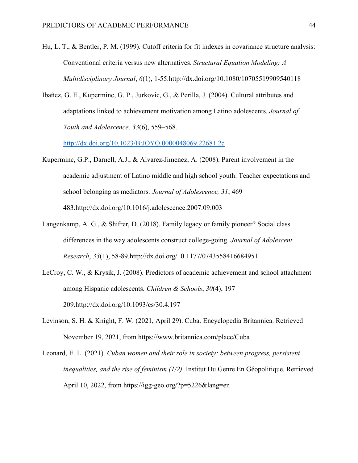- Hu, L. T., & Bentler, P. M. (1999). Cutoff criteria for fit indexes in covariance structure analysis: Conventional criteria versus new alternatives. *Structural Equation Modeling: A Multidisciplinary Journal*, *6*(1), 1-55.http://dx.doi.org/10.1080/10705519909540118
- Ibañez, G. E., Kuperminc, G. P., Jurkovic, G., & Perilla, J. (2004). Cultural attributes and adaptations linked to achievement motivation among Latino adolescents. *Journal of Youth and Adolescence, 33*(6), 559–568.

http://dx.doi.org/10.1023/B:JOYO.0000048069.22681.2c

- Kuperminc, G.P., Darnell, A.J., & Alvarez-Jimenez, A. (2008). Parent involvement in the academic adjustment of Latino middle and high school youth: Teacher expectations and school belonging as mediators. *Journal of Adolescence, 31*, 469– 483.http://dx.doi.org/10.1016/j.adolescence.2007.09.003
- Langenkamp, A. G., & Shifrer, D. (2018). Family legacy or family pioneer? Social class differences in the way adolescents construct college-going. *Journal of Adolescent Research*, *33*(1), 58-89.http://dx.doi.org/10.1177/0743558416684951
- LeCroy, C. W., & Krysik, J. (2008). Predictors of academic achievement and school attachment among Hispanic adolescents. *Children & Schools*, *30*(4), 197– 209.http://dx.doi.org/10.1093/cs/30.4.197
- Levinson, S. H. & Knight, F. W. (2021, April 29). Cuba. Encyclopedia Britannica. Retrieved November 19, 2021, from https://www.britannica.com/place/Cuba

Leonard, E. L. (2021). *Cuban women and their role in society: between progress, persistent inequalities, and the rise of feminism (1/2)*. Institut Du Genre En Géopolitique. Retrieved April 10, 2022, from https://igg-geo.org/?p=5226&lang=en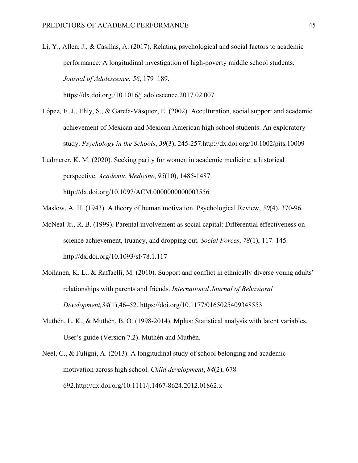- Li, Y., Allen, J., & Casillas, A. (2017). Relating psychological and social factors to academic performance: A longitudinal investigation of high-poverty middle school students. *Journal of Adolescence*, *56*, 179–189. https://dx.doi.org./10.1016/j.adolescence.2017.02.007
- López, E. J., Ehly, S., & García-Vásquez, E. (2002). Acculturation, social support and academic achievement of Mexican and Mexican American high school students: An exploratory study. *Psychology in the Schools*, *39*(3), 245-257.http://dx.doi.org/10.1002/pits.10009
- Ludmerer, K. M. (2020). Seeking parity for women in academic medicine: a historical perspective. *Academic Medicine*, *95*(10), 1485-1487. http://dx.doi.org/10.1097/ACM.0000000000003556
- Maslow, A. H. (1943). A theory of human motivation. Psychological Review, *50*(4), 370-96.
- McNeal Jr., R. B. (1999). Parental involvement as social capital: Differential effectiveness on science achievement, truancy, and dropping out. *Social Forces*, *78*(1), 117–145. http://dx.doi.org/10.1093/sf/78.1.117
- Moilanen, K. L., & Raffaelli, M. (2010). Support and conflict in ethnically diverse young adults' relationships with parents and friends. *International Journal of Behavioral Development,34*(1),46–52. https://doi.org/10.1177/0165025409348553
- Muthén, L. K., & Muthén, B. O. (1998-2014). Mplus: Statistical analysis with latent variables. User's guide (Version 7.2). Muthén and Muthén.
- Neel, C., & Fuligni, A. (2013). A longitudinal study of school belonging and academic motivation across high school. *Child development*, *84*(2), 678- 692.http://dx.doi.org/10.1111/j.1467-8624.2012.01862.x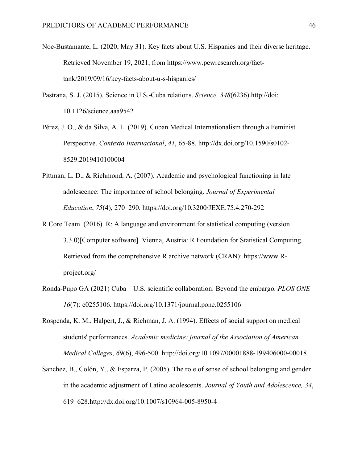- Noe-Bustamante, L. (2020, May 31). Key facts about U.S. Hispanics and their diverse heritage. Retrieved November 19, 2021, from https://www.pewresearch.org/facttank/2019/09/16/key-facts-about-u-s-hispanics/
- Pastrana, S. J. (2015). Science in U.S.-Cuba relations. *Science, 348*(6236).http://doi: 10.1126/science.aaa9542
- Pérez, J. O., & da Silva, A. L. (2019). Cuban Medical Internationalism through a Feminist Perspective. *Contexto Internacional*, *41*, 65-88. http://dx.doi.org/10.1590/s0102- 8529.2019410100004
- Pittman, L. D., & Richmond, A. (2007). Academic and psychological functioning in late adolescence: The importance of school belonging. *Journal of Experimental Education*, *75*(4), 270–290. https://doi.org/10.3200/JEXE.75.4.270-292
- R Core Team (2016). R: A language and environment for statistical computing (version 3.3.0)[Computer software]. Vienna, Austria: R Foundation for Statistical Computing. Retrieved from the comprehensive R archive network (CRAN): https://www.Rproject.org/
- Ronda-Pupo GA (2021) Cuba—U.S. scientific collaboration: Beyond the embargo. *PLOS ONE 16*(7): e0255106. https://doi.org/10.1371/journal.pone.0255106
- Rospenda, K. M., Halpert, J., & Richman, J. A. (1994). Effects of social support on medical students' performances. *Academic medicine: journal of the Association of American Medical Colleges*, *69*(6), 496-500. http://doi.org/10.1097/00001888-199406000-00018
- Sanchez, B., Colón, Y., & Esparza, P. (2005). The role of sense of school belonging and gender in the academic adjustment of Latino adolescents. *Journal of Youth and Adolescence, 34*, 619–628.http://dx.doi.org/10.1007/s10964-005-8950-4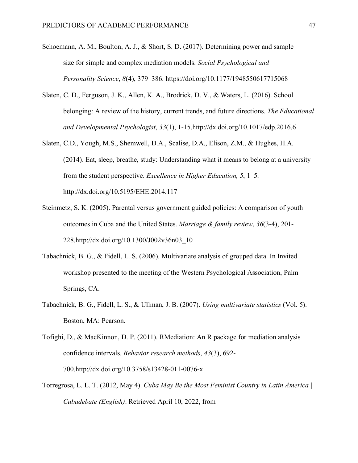- Schoemann, A. M., Boulton, A. J., & Short, S. D. (2017). Determining power and sample size for simple and complex mediation models. *Social Psychological and Personality Science*, *8*(4), 379–386. https://doi.org/10.1177/1948550617715068
- Slaten, C. D., Ferguson, J. K., Allen, K. A., Brodrick, D. V., & Waters, L. (2016). School belonging: A review of the history, current trends, and future directions. *The Educational and Developmental Psychologist*, *33*(1), 1-15.http://dx.doi.org/10.1017/edp.2016.6
- Slaten, C.D., Yough, M.S., Shemwell, D.A., Scalise, D.A., Elison, Z.M., & Hughes, H.A. (2014). Eat, sleep, breathe, study: Understanding what it means to belong at a university from the student perspective. *Excellence in Higher Education, 5*, 1–5. http://dx.doi.org/10.5195/EHE.2014.117
- Steinmetz, S. K. (2005). Parental versus government guided policies: A comparison of youth outcomes in Cuba and the United States. *Marriage & family review*, *36*(3-4), 201- 228.http://dx.doi.org/10.1300/J002v36n03\_10
- Tabachnick, B. G., & Fidell, L. S. (2006). Multivariate analysis of grouped data. In Invited workshop presented to the meeting of the Western Psychological Association, Palm Springs, CA.
- Tabachnick, B. G., Fidell, L. S., & Ullman, J. B. (2007). *Using multivariate statistics* (Vol. 5). Boston, MA: Pearson.

Tofighi, D., & MacKinnon, D. P. (2011). RMediation: An R package for mediation analysis confidence intervals. *Behavior research methods*, *43*(3), 692- 700.http://dx.doi.org/10.3758/s13428-011-0076-x

Torregrosa, L. L. T. (2012, May 4). *Cuba May Be the Most Feminist Country in Latin America | Cubadebate (English)*. Retrieved April 10, 2022, from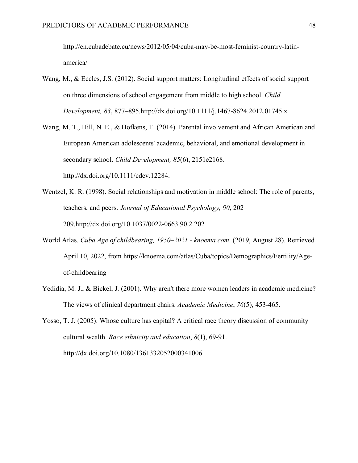http://en.cubadebate.cu/news/2012/05/04/cuba-may-be-most-feminist-country-latinamerica/

- Wang, M., & Eccles, J.S. (2012). Social support matters: Longitudinal effects of social support on three dimensions of school engagement from middle to high school. *Child Development, 83*, 877–895.http://dx.doi.org/10.1111/j.1467-8624.2012.01745.x
- Wang, M. T., Hill, N. E., & Hofkens, T. (2014). Parental involvement and African American and European American adolescents' academic, behavioral, and emotional development in secondary school. *Child Development, 85*(6), 2151e2168. http://dx.doi.org/10.1111/cdev.12284.
- Wentzel, K. R. (1998). Social relationships and motivation in middle school: The role of parents, teachers, and peers. *Journal of Educational Psychology, 90*, 202– 209.http://dx.doi.org/10.1037/0022-0663.90.2.202
- World Atlas. *Cuba Age of childbearing, 1950–2021 - knoema.com*. (2019, August 28). Retrieved April 10, 2022, from https://knoema.com/atlas/Cuba/topics/Demographics/Fertility/Ageof-childbearing
- Yedidia, M. J., & Bickel, J. (2001). Why aren't there more women leaders in academic medicine? The views of clinical department chairs. *Academic Medicine*, *76*(5), 453-465.
- Yosso, T. J. (2005). Whose culture has capital? A critical race theory discussion of community cultural wealth. *Race ethnicity and education*, *8*(1), 69-91. http://dx.doi.org/10.1080/1361332052000341006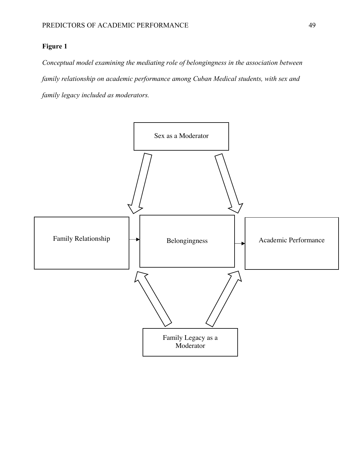## **Figure 1**

*Conceptual model examining the mediating role of belongingness in the association between family relationship on academic performance among Cuban Medical students, with sex and family legacy included as moderators.*

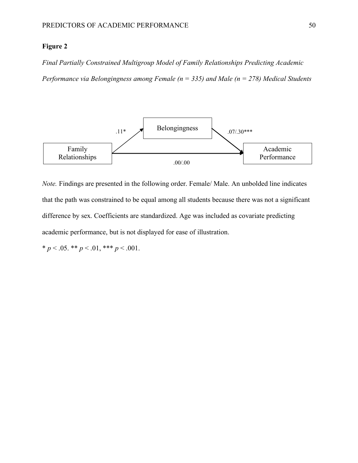#### **Figure 2**

*Final Partially Constrained Multigroup Model of Family Relationships Predicting Academic Performance via Belongingness among Female (n = 335) and Male (n = 278) Medical Students*



*Note.* Findings are presented in the following order. Female/ Male. An unbolded line indicates that the path was constrained to be equal among all students because there was not a significant difference by sex. Coefficients are standardized. Age was included as covariate predicting academic performance, but is not displayed for ease of illustration.

\*  $p < .05$ . \*\*  $p < .01$ , \*\*\*  $p < .001$ .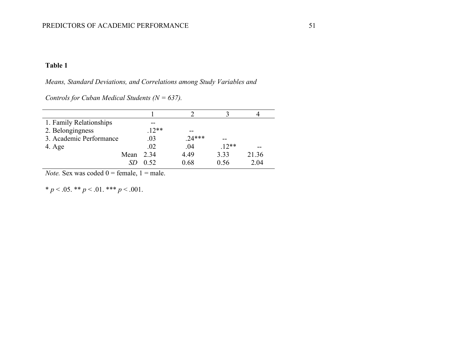## **Table 1**

*Means, Standard Deviations, and Correlations among Study Variables and* 

*Controls for Cuban Medical Students (N = 637).*

| 1. Family Relationships |         |          |         |       |
|-------------------------|---------|----------|---------|-------|
| 2. Belongingness        | $.12**$ | --       |         |       |
| 3. Academic Performance | .03     | $.24***$ |         |       |
| 4. Age                  | .02     | .04      | $.12**$ |       |
| Mean                    | 2 3 4   | 4.49     | 3.33    | 21.36 |
|                         | 0.52    | 0.68     | 0.56    | 2.04  |

*Note.* Sex was coded  $0 =$  female,  $1 =$  male.

\*  $p < .05$ . \*\*  $p < .01$ . \*\*\*  $p < .001$ .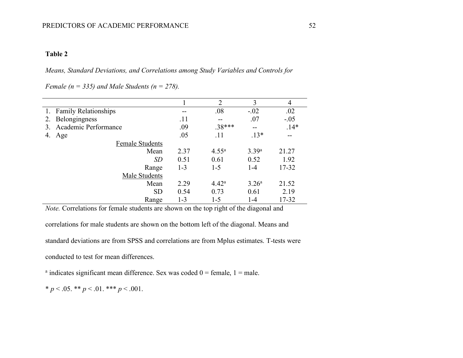### **Table 2**

*Means, Standard Deviations, and Correlations among Study Variables and Controls for* 

*Female (n = 335) and Male Students (n = 278).*

|                            |         | $\overline{2}$    | 3                 | 4      |
|----------------------------|---------|-------------------|-------------------|--------|
| 1. Family Relationships    | --      | .08               | $-.02$            | .02    |
| Belongingness<br>2.        | .11     | $\qquad \qquad -$ | .07               | $-.05$ |
| Academic Performance<br>3. | .09     | $.38***$          | --                | $.14*$ |
| 4.<br>Age                  | .05     | .11               | $.13*$            |        |
| <b>Female Students</b>     |         |                   |                   |        |
| Mean                       | 2.37    | $4.55^{\rm a}$    | 3.39a             | 21.27  |
| SD                         | 0.51    | 0.61              | 0.52              | 1.92   |
| Range                      | $1 - 3$ | $1 - 5$           | $1 - 4$           | 17-32  |
| Male Students              |         |                   |                   |        |
| Mean                       | 2.29    | 4.42 <sup>a</sup> | 3.26 <sup>a</sup> | 21.52  |
| <b>SD</b>                  | 0.54    | 0.73              | 0.61              | 2.19   |
| Range                      | 1-3     | $1 - 5$           | 1-4               | 17-32  |

*Note.* Correlations for female students are shown on the top right of the diagonal and

correlations for male students are shown on the bottom left of the diagonal. Means and

standard deviations are from SPSS and correlations are from Mplus estimates. T-tests were

conducted to test for mean differences.

<sup>a</sup> indicates significant mean difference. Sex was coded  $0 =$  female,  $1 =$  male.

\*  $p < .05$ . \*\*  $p < .01$ . \*\*\*  $p < .001$ .